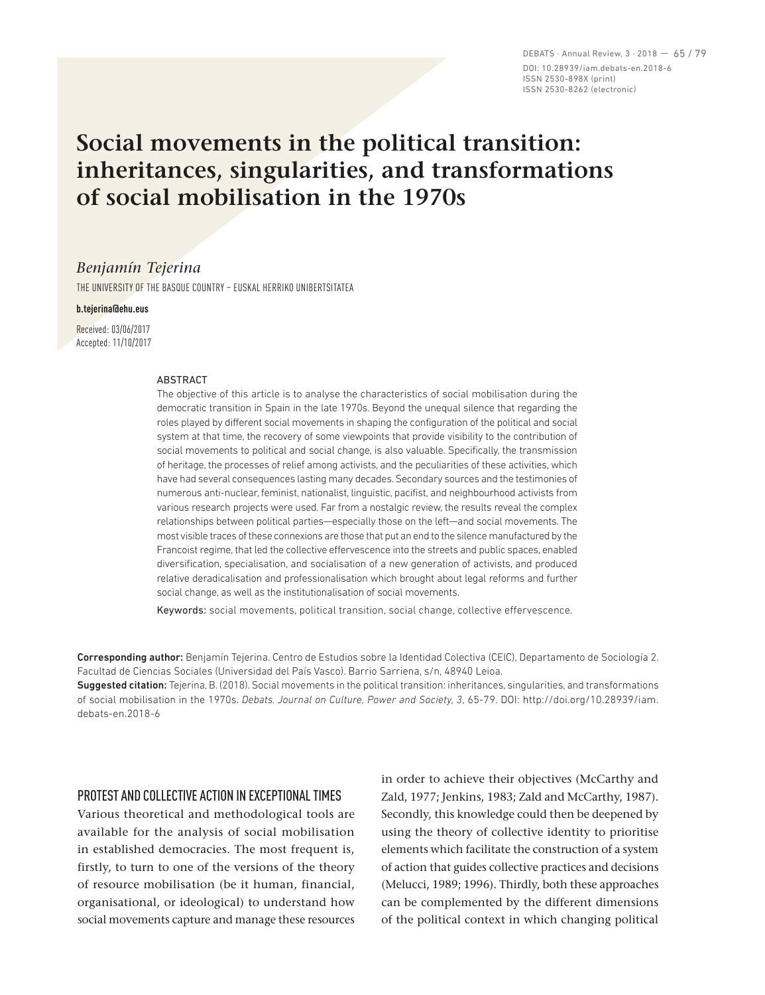DEBATS · Annual Review, 3 · 2018 — 65 / 79 DOI: 10.28939/iam.debats-en.2018-6 ISSN 2530-898X (print) ISSN 2530-8262 (electronic)

# **Social movements in the political transition: inheritances, singularities, and transformations of social mobilisation in the 1970s**

## *Benjamín Tejerina*

THE UNIVERSITY OF THE BASQUE COUNTRY – EUSKAL HERRIKO UNIBERTSITATEA

#### **b.tejerina@ehu.eus**

Received: 03/06/2017 Accepted: 11/10/2017

#### **ARSTRACT**

The objective of this article is to analyse the characteristics of social mobilisation during the democratic transition in Spain in the late 1970s. Beyond the unequal silence that regarding the roles played by different social movements in shaping the configuration of the political and social system at that time, the recovery of some viewpoints that provide visibility to the contribution of social movements to political and social change, is also valuable. Specifically, the transmission of heritage, the processes of relief among activists, and the peculiarities of these activities, which have had several consequences lasting many decades. Secondary sources and the testimonies of numerous anti-nuclear, feminist, nationalist, linguistic, pacifist, and neighbourhood activists from various research projects were used. Far from a nostalgic review, the results reveal the complex relationships between political parties—especially those on the left—and social movements. The most visible traces of these connexions are those that put an end to the silence manufactured by the Francoist regime, that led the collective effervescence into the streets and public spaces, enabled diversification, specialisation, and socialisation of a new generation of activists, and produced relative deradicalisation and professionalisation which brought about legal reforms and further social change, as well as the institutionalisation of social movements.

Keywords: social movements, political transition, social change, collective effervescence.

Corresponding author: Benjamín Tejerina. Centro de Estudios sobre la Identidad Colectiva (CEIC), Departamento de Sociología 2. Facultad de Ciencias Sociales (Universidad del País Vasco). Barrio Sarriena, s/n, 48940 Leioa.

Suggested citation: Tejerina, B. (2018). Social movements in the political transition: inheritances, singularities, and transformations of social mobilisation in the 1970s. *Debats. Journal on Culture, Power and Society, 3*, 65-79. DOI: http://doi.org/10.28939/iam. debats-en.2018-6

## PROTEST AND COLLECTIVE ACTION IN EXCEPTIONAL TIMES

Various theoretical and methodological tools are available for the analysis of social mobilisation in established democracies. The most frequent is, firstly, to turn to one of the versions of the theory of resource mobilisation (be it human, financial, organisational, or ideological) to understand how social movements capture and manage these resources in order to achieve their objectives (McCarthy and Zald, 1977; Jenkins, 1983; Zald and McCarthy, 1987). Secondly, this knowledge could then be deepened by using the theory of collective identity to prioritise elements which facilitate the construction of a system of action that guides collective practices and decisions (Melucci, 1989; 1996). Thirdly, both these approaches can be complemented by the different dimensions of the political context in which changing political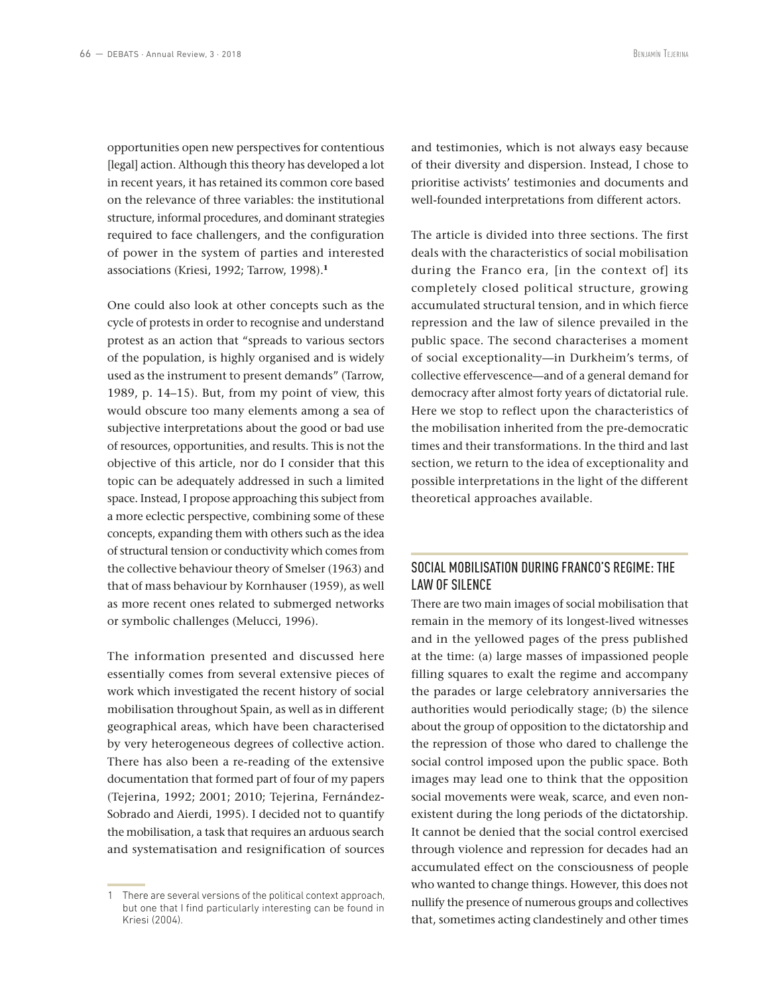opportunities open new perspectives for contentious [legal] action. Although this theory has developed a lot in recent years, it has retained its common core based on the relevance of three variables: the institutional structure, informal procedures, and dominant strategies required to face challengers, and the configuration of power in the system of parties and interested associations (Kriesi, 1992; Tarrow, 1998).**<sup>1</sup>**

One could also look at other concepts such as the cycle of protests in order to recognise and understand protest as an action that "spreads to various sectors of the population, is highly organised and is widely used as the instrument to present demands" (Tarrow, 1989, p. 14–15). But, from my point of view, this would obscure too many elements among a sea of subjective interpretations about the good or bad use of resources, opportunities, and results. This is not the objective of this article, nor do I consider that this topic can be adequately addressed in such a limited space. Instead, I propose approaching this subject from a more eclectic perspective, combining some of these concepts, expanding them with others such as the idea of structural tension or conductivity which comes from the collective behaviour theory of Smelser (1963) and that of mass behaviour by Kornhauser (1959), as well as more recent ones related to submerged networks or symbolic challenges (Melucci, 1996).

The information presented and discussed here essentially comes from several extensive pieces of work which investigated the recent history of social mobilisation throughout Spain, as well as in different geographical areas, which have been characterised by very heterogeneous degrees of collective action. There has also been a re-reading of the extensive documentation that formed part of four of my papers (Tejerina, 1992; 2001; 2010; Tejerina, Fernández-Sobrado and Aierdi, 1995). I decided not to quantify the mobilisation, a task that requires an arduous search and systematisation and resignification of sources

and testimonies, which is not always easy because of their diversity and dispersion. Instead, I chose to prioritise activists' testimonies and documents and well-founded interpretations from different actors.

The article is divided into three sections. The first deals with the characteristics of social mobilisation during the Franco era, [in the context of] its completely closed political structure, growing accumulated structural tension, and in which fierce repression and the law of silence prevailed in the public space. The second characterises a moment of social exceptionality—in Durkheim's terms, of collective effervescence—and of a general demand for democracy after almost forty years of dictatorial rule. Here we stop to reflect upon the characteristics of the mobilisation inherited from the pre-democratic times and their transformations. In the third and last section, we return to the idea of exceptionality and possible interpretations in the light of the different theoretical approaches available.

# SOCIAL MOBILISATION DURING FRANCO'S REGIME: THE LAW OF SILENCE

There are two main images of social mobilisation that remain in the memory of its longest-lived witnesses and in the yellowed pages of the press published at the time: (a) large masses of impassioned people filling squares to exalt the regime and accompany the parades or large celebratory anniversaries the authorities would periodically stage; (b) the silence about the group of opposition to the dictatorship and the repression of those who dared to challenge the social control imposed upon the public space. Both images may lead one to think that the opposition social movements were weak, scarce, and even nonexistent during the long periods of the dictatorship. It cannot be denied that the social control exercised through violence and repression for decades had an accumulated effect on the consciousness of people who wanted to change things. However, this does not nullify the presence of numerous groups and collectives that, sometimes acting clandestinely and other times

<sup>1</sup> There are several versions of the political context approach, but one that I find particularly interesting can be found in Kriesi (2004).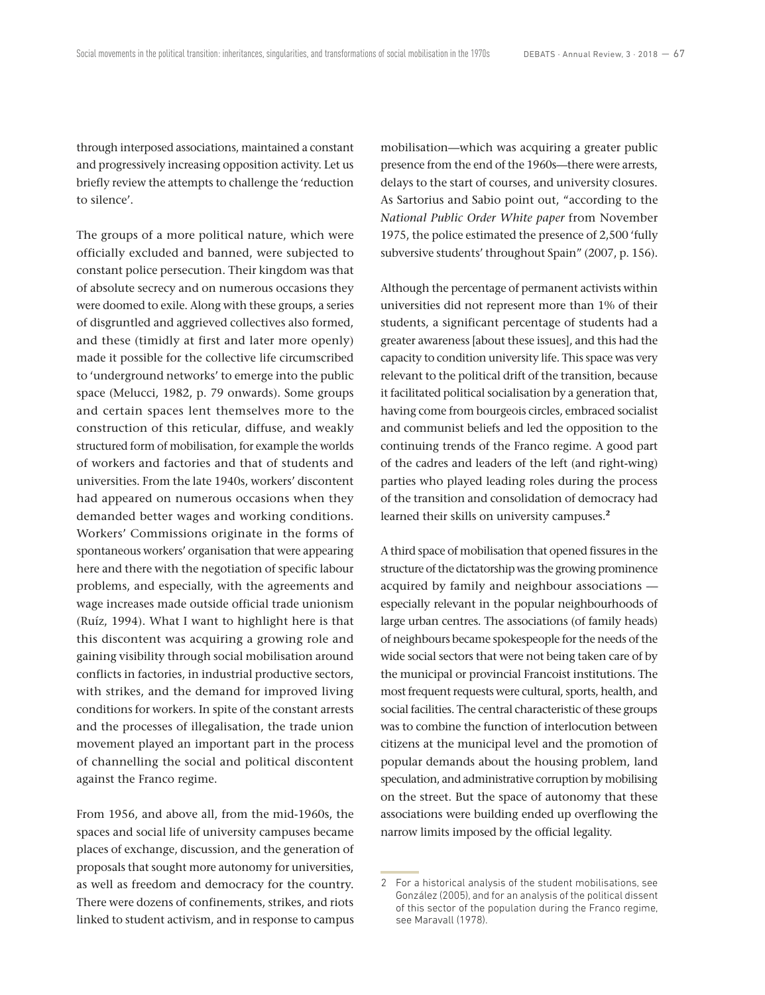through interposed associations, maintained a constant and progressively increasing opposition activity. Let us briefly review the attempts to challenge the 'reduction to silence'.

The groups of a more political nature, which were officially excluded and banned, were subjected to constant police persecution. Their kingdom was that of absolute secrecy and on numerous occasions they were doomed to exile. Along with these groups, a series of disgruntled and aggrieved collectives also formed, and these (timidly at first and later more openly) made it possible for the collective life circumscribed to 'underground networks' to emerge into the public space (Melucci, 1982, p. 79 onwards). Some groups and certain spaces lent themselves more to the construction of this reticular, diffuse, and weakly structured form of mobilisation, for example the worlds of workers and factories and that of students and universities. From the late 1940s, workers' discontent had appeared on numerous occasions when they demanded better wages and working conditions. Workers' Commissions originate in the forms of spontaneous workers' organisation that were appearing here and there with the negotiation of specific labour problems, and especially, with the agreements and wage increases made outside official trade unionism (Ruíz, 1994). What I want to highlight here is that this discontent was acquiring a growing role and gaining visibility through social mobilisation around conflicts in factories, in industrial productive sectors, with strikes, and the demand for improved living conditions for workers. In spite of the constant arrests and the processes of illegalisation, the trade union movement played an important part in the process of channelling the social and political discontent against the Franco regime.

From 1956, and above all, from the mid-1960s, the spaces and social life of university campuses became places of exchange, discussion, and the generation of proposals that sought more autonomy for universities, as well as freedom and democracy for the country. There were dozens of confinements, strikes, and riots linked to student activism, and in response to campus

mobilisation—which was acquiring a greater public presence from the end of the 1960s—there were arrests, delays to the start of courses, and university closures. As Sartorius and Sabio point out, "according to the *National Public Order White paper* from November 1975, the police estimated the presence of 2,500 'fully subversive students' throughout Spain" (2007, p. 156).

Although the percentage of permanent activists within universities did not represent more than 1% of their students, a significant percentage of students had a greater awareness [about these issues], and this had the capacity to condition university life. This space was very relevant to the political drift of the transition, because it facilitated political socialisation by a generation that, having come from bourgeois circles, embraced socialist and communist beliefs and led the opposition to the continuing trends of the Franco regime. A good part of the cadres and leaders of the left (and right-wing) parties who played leading roles during the process of the transition and consolidation of democracy had learned their skills on university campuses.**<sup>2</sup>**

A third space of mobilisation that opened fissures in the structure of the dictatorship was the growing prominence acquired by family and neighbour associations especially relevant in the popular neighbourhoods of large urban centres. The associations (of family heads) of neighbours became spokespeople for the needs of the wide social sectors that were not being taken care of by the municipal or provincial Francoist institutions. The most frequent requests were cultural, sports, health, and social facilities. The central characteristic of these groups was to combine the function of interlocution between citizens at the municipal level and the promotion of popular demands about the housing problem, land speculation, and administrative corruption by mobilising on the street. But the space of autonomy that these associations were building ended up overflowing the narrow limits imposed by the official legality.

<sup>2</sup> For a historical analysis of the student mobilisations, see González (2005), and for an analysis of the political dissent of this sector of the population during the Franco regime, see Maravall (1978).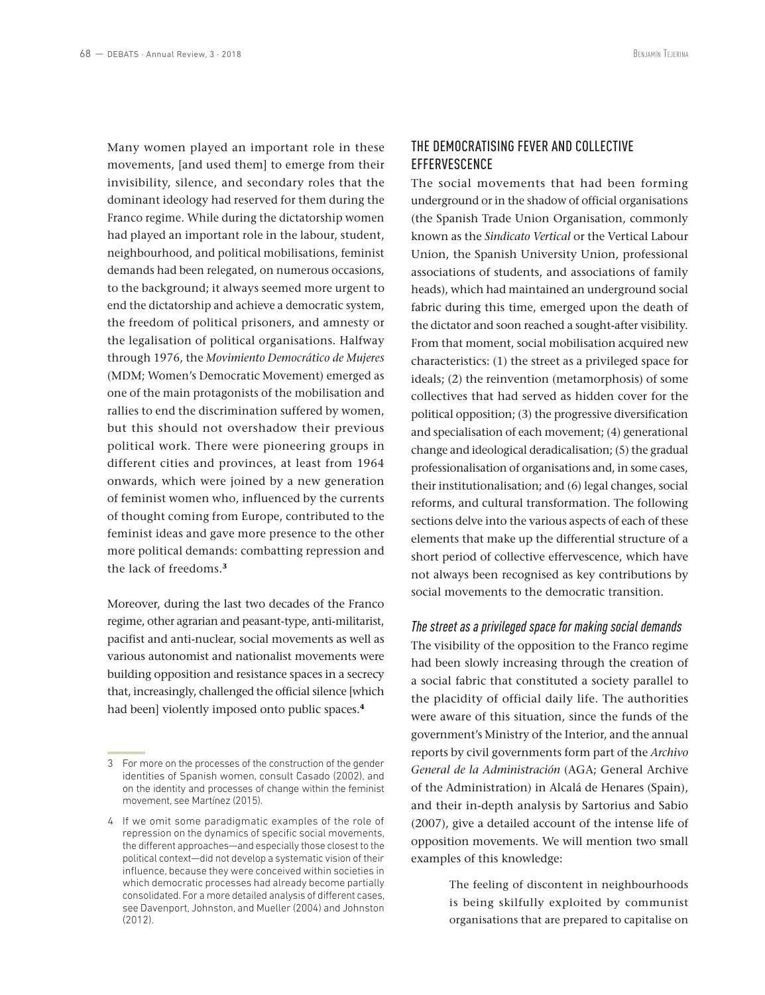Many women played an important role in these movements, [and used them] to emerge from their invisibility, silence, and secondary roles that the dominant ideology had reserved for them during the Franco regime. While during the dictatorship women had played an important role in the labour, student, neighbourhood, and political mobilisations, feminist demands had been relegated, on numerous occasions, to the background; it always seemed more urgent to end the dictatorship and achieve a democratic system, the freedom of political prisoners, and amnesty or the legalisation of political organisations. Halfway through 1976, the *Movimiento Democrático de Mujeres*  (MDM; Women's Democratic Movement) emerged as one of the main protagonists of the mobilisation and rallies to end the discrimination suffered by women, but this should not overshadow their previous political work. There were pioneering groups in different cities and provinces, at least from 1964 onwards, which were joined by a new generation of feminist women who, influenced by the currents of thought coming from Europe, contributed to the feminist ideas and gave more presence to the other more political demands: combatting repression and the lack of freedoms.**<sup>3</sup>**

Moreover, during the last two decades of the Franco regime, other agrarian and peasant-type, anti-militarist, pacifist and anti-nuclear, social movements as well as various autonomist and nationalist movements were building opposition and resistance spaces in a secrecy that, increasingly, challenged the official silence [which had been] violently imposed onto public spaces.**<sup>4</sup>**

# THE DEMOCRATISING FEVER AND COLLECTIVE **EFFERVESCENCE**

The social movements that had been forming underground or in the shadow of official organisations (the Spanish Trade Union Organisation, commonly known as the *Sindicato Vertical* or the Vertical Labour Union, the Spanish University Union, professional associations of students, and associations of family heads), which had maintained an underground social fabric during this time, emerged upon the death of the dictator and soon reached a sought-after visibility. From that moment, social mobilisation acquired new characteristics: (1) the street as a privileged space for ideals; (2) the reinvention (metamorphosis) of some collectives that had served as hidden cover for the political opposition; (3) the progressive diversification and specialisation of each movement; (4) generational change and ideological deradicalisation; (5) the gradual professionalisation of organisations and, in some cases, their institutionalisation; and (6) legal changes, social reforms, and cultural transformation. The following sections delve into the various aspects of each of these elements that make up the differential structure of a short period of collective effervescence, which have not always been recognised as key contributions by social movements to the democratic transition.

#### *The street as a privileged space for making social demands*

The visibility of the opposition to the Franco regime had been slowly increasing through the creation of a social fabric that constituted a society parallel to the placidity of official daily life. The authorities were aware of this situation, since the funds of the government's Ministry of the Interior, and the annual reports by civil governments form part of the *Archivo General de la Administración* (AGA; General Archive of the Administration) in Alcalá de Henares (Spain), and their in-depth analysis by Sartorius and Sabio (2007), give a detailed account of the intense life of opposition movements. We will mention two small examples of this knowledge:

> The feeling of discontent in neighbourhoods is being skilfully exploited by communist organisations that are prepared to capitalise on

<sup>3</sup> For more on the processes of the construction of the gender identities of Spanish women, consult Casado (2002), and on the identity and processes of change within the feminist movement, see Martínez (2015).

<sup>4</sup> If we omit some paradigmatic examples of the role of repression on the dynamics of specific social movements, the different approaches—and especially those closest to the political context—did not develop a systematic vision of their influence, because they were conceived within societies in which democratic processes had already become partially consolidated. For a more detailed analysis of different cases, see Davenport, Johnston, and Mueller (2004) and Johnston  $(2012)$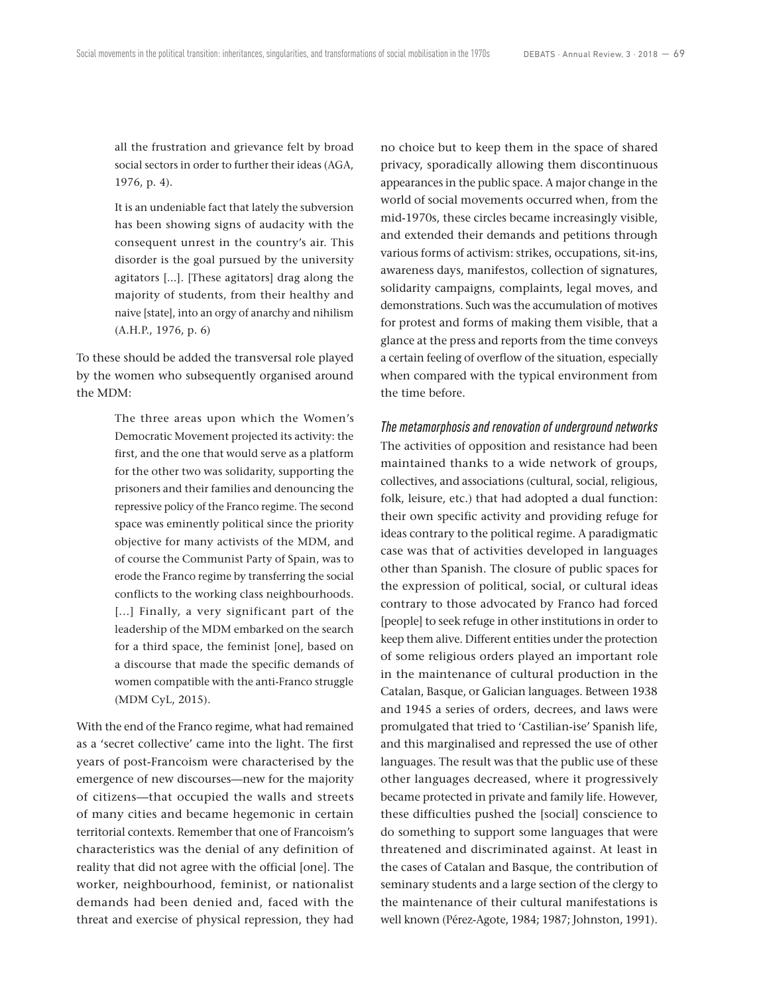all the frustration and grievance felt by broad social sectors in order to further their ideas (AGA, 1976, p. 4).

It is an undeniable fact that lately the subversion has been showing signs of audacity with the consequent unrest in the country's air. This disorder is the goal pursued by the university agitators [...]. [These agitators] drag along the majority of students, from their healthy and naive [state], into an orgy of anarchy and nihilism (A.H.P., 1976, p. 6)

To these should be added the transversal role played by the women who subsequently organised around the MDM:

> The three areas upon which the Women's Democratic Movement projected its activity: the first, and the one that would serve as a platform for the other two was solidarity, supporting the prisoners and their families and denouncing the repressive policy of the Franco regime. The second space was eminently political since the priority objective for many activists of the MDM, and of course the Communist Party of Spain, was to erode the Franco regime by transferring the social conflicts to the working class neighbourhoods. [...] Finally, a very significant part of the leadership of the MDM embarked on the search for a third space, the feminist [one], based on a discourse that made the specific demands of women compatible with the anti-Franco struggle (MDM CyL, 2015).

With the end of the Franco regime, what had remained as a 'secret collective' came into the light. The first years of post-Francoism were characterised by the emergence of new discourses—new for the majority of citizens—that occupied the walls and streets of many cities and became hegemonic in certain territorial contexts. Remember that one of Francoism's characteristics was the denial of any definition of reality that did not agree with the official [one]. The worker, neighbourhood, feminist, or nationalist demands had been denied and, faced with the threat and exercise of physical repression, they had no choice but to keep them in the space of shared privacy, sporadically allowing them discontinuous appearances in the public space. A major change in the world of social movements occurred when, from the mid-1970s, these circles became increasingly visible, and extended their demands and petitions through various forms of activism: strikes, occupations, sit-ins, awareness days, manifestos, collection of signatures, solidarity campaigns, complaints, legal moves, and demonstrations. Such was the accumulation of motives for protest and forms of making them visible, that a glance at the press and reports from the time conveys a certain feeling of overflow of the situation, especially when compared with the typical environment from the time before.

*The metamorphosis and renovation of underground networks* The activities of opposition and resistance had been maintained thanks to a wide network of groups, collectives, and associations (cultural, social, religious, folk, leisure, etc.) that had adopted a dual function: their own specific activity and providing refuge for ideas contrary to the political regime. A paradigmatic case was that of activities developed in languages other than Spanish. The closure of public spaces for the expression of political, social, or cultural ideas contrary to those advocated by Franco had forced [people] to seek refuge in other institutions in order to keep them alive. Different entities under the protection of some religious orders played an important role in the maintenance of cultural production in the Catalan, Basque, or Galician languages. Between 1938 and 1945 a series of orders, decrees, and laws were promulgated that tried to 'Castilian-ise' Spanish life, and this marginalised and repressed the use of other languages. The result was that the public use of these other languages decreased, where it progressively became protected in private and family life. However, these difficulties pushed the [social] conscience to do something to support some languages that were threatened and discriminated against. At least in the cases of Catalan and Basque, the contribution of seminary students and a large section of the clergy to the maintenance of their cultural manifestations is well known (Pérez-Agote, 1984; 1987; Johnston, 1991).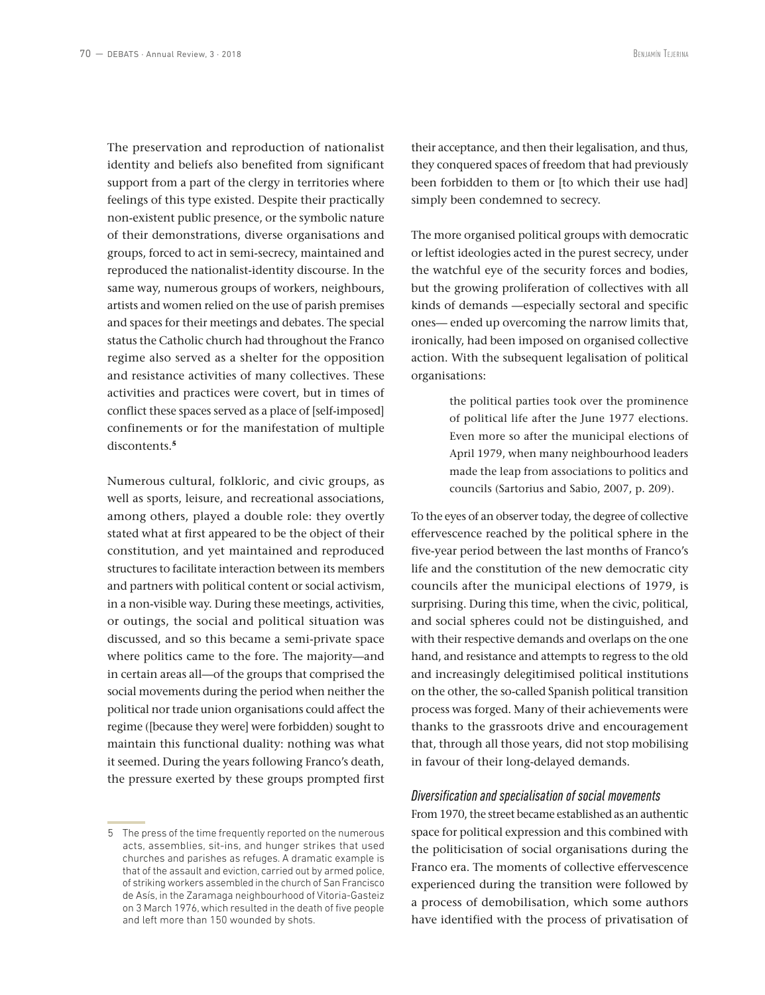The preservation and reproduction of nationalist identity and beliefs also benefited from significant support from a part of the clergy in territories where feelings of this type existed. Despite their practically non-existent public presence, or the symbolic nature of their demonstrations, diverse organisations and groups, forced to act in semi-secrecy, maintained and reproduced the nationalist-identity discourse. In the same way, numerous groups of workers, neighbours, artists and women relied on the use of parish premises and spaces for their meetings and debates. The special status the Catholic church had throughout the Franco regime also served as a shelter for the opposition and resistance activities of many collectives. These activities and practices were covert, but in times of conflict these spaces served as a place of [self-imposed] confinements or for the manifestation of multiple discontents.**<sup>5</sup>**

Numerous cultural, folkloric, and civic groups, as well as sports, leisure, and recreational associations, among others, played a double role: they overtly stated what at first appeared to be the object of their constitution, and yet maintained and reproduced structures to facilitate interaction between its members and partners with political content or social activism, in a non-visible way. During these meetings, activities, or outings, the social and political situation was discussed, and so this became a semi-private space where politics came to the fore. The majority—and in certain areas all—of the groups that comprised the social movements during the period when neither the political nor trade union organisations could affect the regime ([because they were] were forbidden) sought to maintain this functional duality: nothing was what it seemed. During the years following Franco's death, the pressure exerted by these groups prompted first

their acceptance, and then their legalisation, and thus, they conquered spaces of freedom that had previously been forbidden to them or [to which their use had] simply been condemned to secrecy.

The more organised political groups with democratic or leftist ideologies acted in the purest secrecy, under the watchful eye of the security forces and bodies, but the growing proliferation of collectives with all kinds of demands —especially sectoral and specific ones— ended up overcoming the narrow limits that, ironically, had been imposed on organised collective action. With the subsequent legalisation of political organisations:

> the political parties took over the prominence of political life after the June 1977 elections. Even more so after the municipal elections of April 1979, when many neighbourhood leaders made the leap from associations to politics and councils (Sartorius and Sabio, 2007, p. 209).

To the eyes of an observer today, the degree of collective effervescence reached by the political sphere in the five-year period between the last months of Franco's life and the constitution of the new democratic city councils after the municipal elections of 1979, is surprising. During this time, when the civic, political, and social spheres could not be distinguished, and with their respective demands and overlaps on the one hand, and resistance and attempts to regress to the old and increasingly delegitimised political institutions on the other, the so-called Spanish political transition process was forged. Many of their achievements were thanks to the grassroots drive and encouragement that, through all those years, did not stop mobilising in favour of their long-delayed demands.

### *Diversification and specialisation of social movements*

From 1970, the street became established as an authentic space for political expression and this combined with the politicisation of social organisations during the Franco era. The moments of collective effervescence experienced during the transition were followed by a process of demobilisation, which some authors have identified with the process of privatisation of

<sup>5</sup> The press of the time frequently reported on the numerous acts, assemblies, sit-ins, and hunger strikes that used churches and parishes as refuges. A dramatic example is that of the assault and eviction, carried out by armed police, of striking workers assembled in the church of San Francisco de Asís, in the Zaramaga neighbourhood of Vitoria-Gasteiz on 3 March 1976, which resulted in the death of five people and left more than 150 wounded by shots.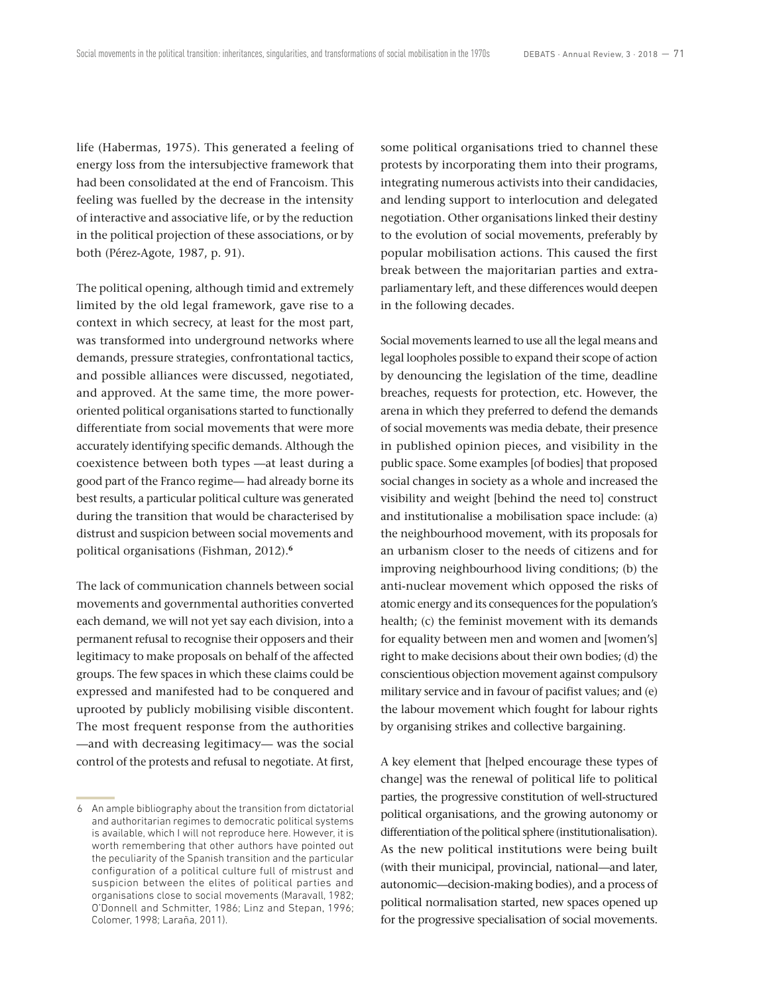life (Habermas, 1975). This generated a feeling of energy loss from the intersubjective framework that had been consolidated at the end of Francoism. This feeling was fuelled by the decrease in the intensity of interactive and associative life, or by the reduction in the political projection of these associations, or by both (Pérez-Agote, 1987, p. 91).

The political opening, although timid and extremely limited by the old legal framework, gave rise to a context in which secrecy, at least for the most part, was transformed into underground networks where demands, pressure strategies, confrontational tactics, and possible alliances were discussed, negotiated, and approved. At the same time, the more poweroriented political organisations started to functionally differentiate from social movements that were more accurately identifying specific demands. Although the coexistence between both types —at least during a good part of the Franco regime— had already borne its best results, a particular political culture was generated during the transition that would be characterised by distrust and suspicion between social movements and political organisations (Fishman, 2012).**<sup>6</sup>**

The lack of communication channels between social movements and governmental authorities converted each demand, we will not yet say each division, into a permanent refusal to recognise their opposers and their legitimacy to make proposals on behalf of the affected groups. The few spaces in which these claims could be expressed and manifested had to be conquered and uprooted by publicly mobilising visible discontent. The most frequent response from the authorities —and with decreasing legitimacy— was the social control of the protests and refusal to negotiate. At first,

some political organisations tried to channel these protests by incorporating them into their programs, integrating numerous activists into their candidacies, and lending support to interlocution and delegated negotiation. Other organisations linked their destiny to the evolution of social movements, preferably by popular mobilisation actions. This caused the first break between the majoritarian parties and extraparliamentary left, and these differences would deepen in the following decades.

Social movements learned to use all the legal means and legal loopholes possible to expand their scope of action by denouncing the legislation of the time, deadline breaches, requests for protection, etc. However, the arena in which they preferred to defend the demands of social movements was media debate, their presence in published opinion pieces, and visibility in the public space. Some examples [of bodies] that proposed social changes in society as a whole and increased the visibility and weight [behind the need to] construct and institutionalise a mobilisation space include: (a) the neighbourhood movement, with its proposals for an urbanism closer to the needs of citizens and for improving neighbourhood living conditions; (b) the anti-nuclear movement which opposed the risks of atomic energy and its consequences for the population's health; (c) the feminist movement with its demands for equality between men and women and [women's] right to make decisions about their own bodies; (d) the conscientious objection movement against compulsory military service and in favour of pacifist values; and (e) the labour movement which fought for labour rights by organising strikes and collective bargaining.

A key element that [helped encourage these types of change] was the renewal of political life to political parties, the progressive constitution of well-structured political organisations, and the growing autonomy or differentiation of the political sphere (institutionalisation). As the new political institutions were being built (with their municipal, provincial, national—and later, autonomic—decision-making bodies), and a process of political normalisation started, new spaces opened up for the progressive specialisation of social movements.

<sup>6</sup> An ample bibliography about the transition from dictatorial and authoritarian regimes to democratic political systems is available, which I will not reproduce here. However, it is worth remembering that other authors have pointed out the peculiarity of the Spanish transition and the particular configuration of a political culture full of mistrust and suspicion between the elites of political parties and organisations close to social movements (Maravall, 1982; O'Donnell and Schmitter, 1986; Linz and Stepan, 1996; Colomer, 1998; Laraña, 2011).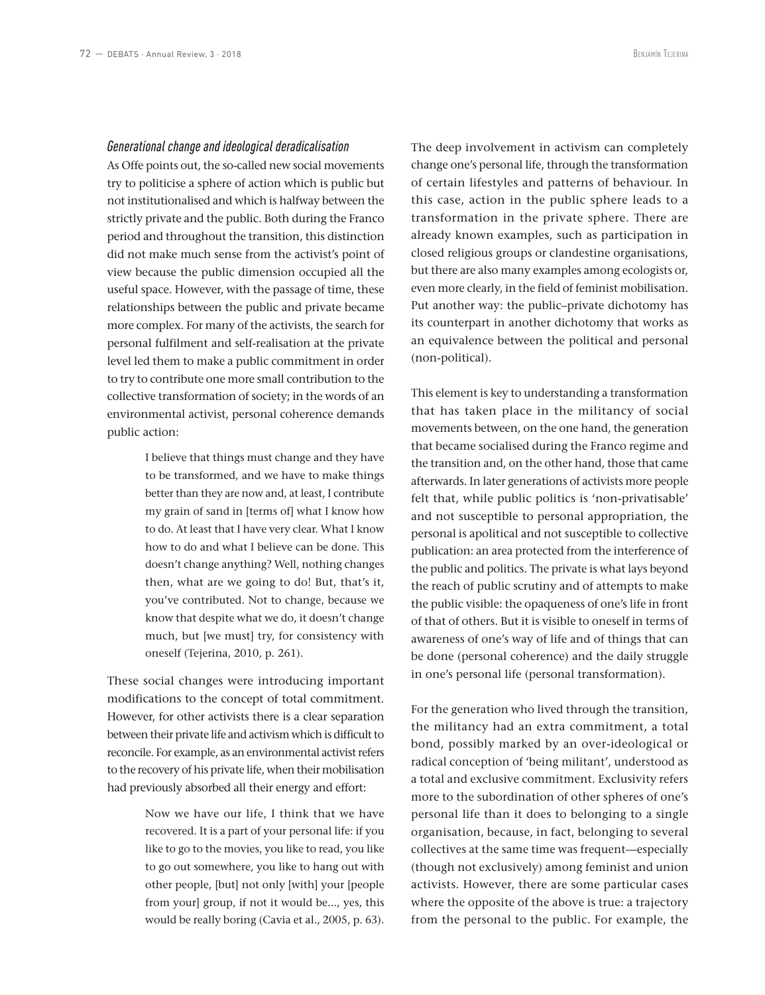#### *Generational change and ideological deradicalisation*

As Offe points out, the so-called new social movements try to politicise a sphere of action which is public but not institutionalised and which is halfway between the strictly private and the public. Both during the Franco period and throughout the transition, this distinction did not make much sense from the activist's point of view because the public dimension occupied all the useful space. However, with the passage of time, these relationships between the public and private became more complex. For many of the activists, the search for personal fulfilment and self-realisation at the private level led them to make a public commitment in order to try to contribute one more small contribution to the collective transformation of society; in the words of an environmental activist, personal coherence demands public action:

> I believe that things must change and they have to be transformed, and we have to make things better than they are now and, at least, I contribute my grain of sand in [terms of] what I know how to do. At least that I have very clear. What I know how to do and what I believe can be done. This doesn't change anything? Well, nothing changes then, what are we going to do! But, that's it, you've contributed. Not to change, because we know that despite what we do, it doesn't change much, but [we must] try, for consistency with oneself (Tejerina, 2010, p. 261).

These social changes were introducing important modifications to the concept of total commitment. However, for other activists there is a clear separation between their private life and activism which is difficult to reconcile. For example, as an environmental activist refers to the recovery of his private life, when their mobilisation had previously absorbed all their energy and effort:

> Now we have our life, I think that we have recovered. It is a part of your personal life: if you like to go to the movies, you like to read, you like to go out somewhere, you like to hang out with other people, [but] not only [with] your [people from your] group, if not it would be..., yes, this would be really boring (Cavia et al., 2005, p. 63).

The deep involvement in activism can completely change one's personal life, through the transformation of certain lifestyles and patterns of behaviour. In this case, action in the public sphere leads to a transformation in the private sphere. There are already known examples, such as participation in closed religious groups or clandestine organisations, but there are also many examples among ecologists or, even more clearly, in the field of feminist mobilisation. Put another way: the public–private dichotomy has its counterpart in another dichotomy that works as an equivalence between the political and personal (non-political).

This element is key to understanding a transformation that has taken place in the militancy of social movements between, on the one hand, the generation that became socialised during the Franco regime and the transition and, on the other hand, those that came afterwards. In later generations of activists more people felt that, while public politics is 'non-privatisable' and not susceptible to personal appropriation, the personal is apolitical and not susceptible to collective publication: an area protected from the interference of the public and politics. The private is what lays beyond the reach of public scrutiny and of attempts to make the public visible: the opaqueness of one's life in front of that of others. But it is visible to oneself in terms of awareness of one's way of life and of things that can be done (personal coherence) and the daily struggle in one's personal life (personal transformation).

For the generation who lived through the transition, the militancy had an extra commitment, a total bond, possibly marked by an over-ideological or radical conception of 'being militant', understood as a total and exclusive commitment. Exclusivity refers more to the subordination of other spheres of one's personal life than it does to belonging to a single organisation, because, in fact, belonging to several collectives at the same time was frequent—especially (though not exclusively) among feminist and union activists. However, there are some particular cases where the opposite of the above is true: a trajectory from the personal to the public. For example, the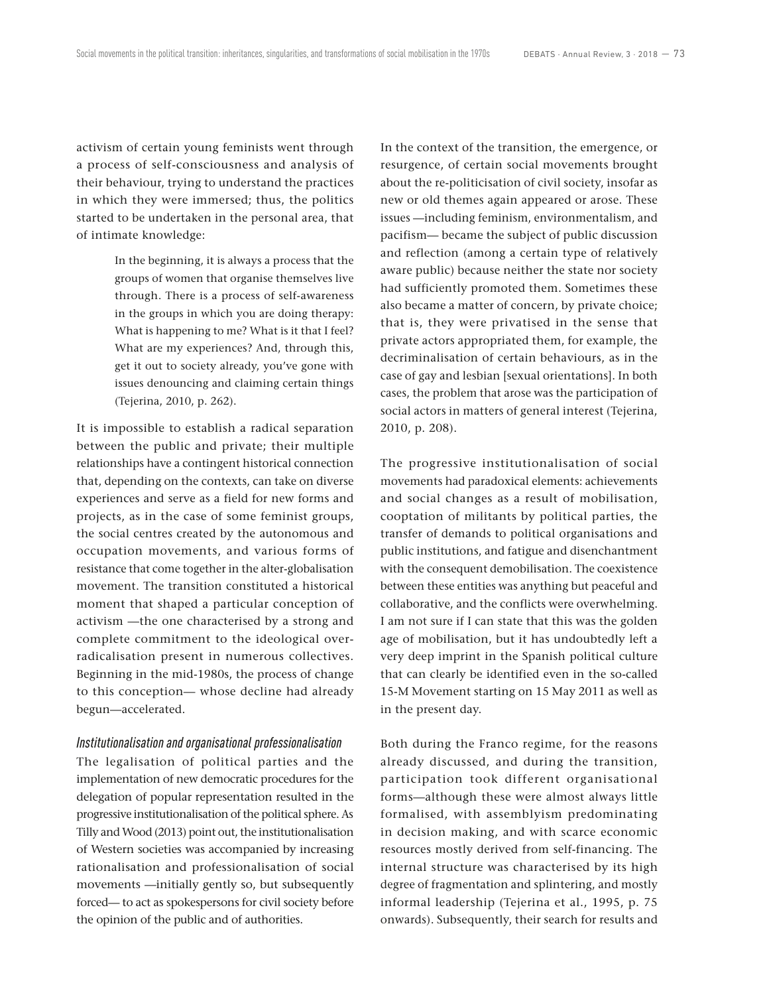activism of certain young feminists went through a process of self-consciousness and analysis of their behaviour, trying to understand the practices in which they were immersed; thus, the politics started to be undertaken in the personal area, that of intimate knowledge:

> In the beginning, it is always a process that the groups of women that organise themselves live through. There is a process of self-awareness in the groups in which you are doing therapy: What is happening to me? What is it that I feel? What are my experiences? And, through this, get it out to society already, you've gone with issues denouncing and claiming certain things (Tejerina, 2010, p. 262).

It is impossible to establish a radical separation between the public and private; their multiple relationships have a contingent historical connection that, depending on the contexts, can take on diverse experiences and serve as a field for new forms and projects, as in the case of some feminist groups, the social centres created by the autonomous and occupation movements, and various forms of resistance that come together in the alter-globalisation movement. The transition constituted a historical moment that shaped a particular conception of activism —the one characterised by a strong and complete commitment to the ideological overradicalisation present in numerous collectives. Beginning in the mid-1980s, the process of change to this conception— whose decline had already begun—accelerated.

#### *Institutionalisation and organisational professionalisation*

The legalisation of political parties and the implementation of new democratic procedures for the delegation of popular representation resulted in the progressive institutionalisation of the political sphere. As Tilly and Wood (2013) point out, the institutionalisation of Western societies was accompanied by increasing rationalisation and professionalisation of social movements —initially gently so, but subsequently forced— to act as spokespersons for civil society before the opinion of the public and of authorities.

In the context of the transition, the emergence, or resurgence, of certain social movements brought about the re-politicisation of civil society, insofar as new or old themes again appeared or arose. These issues —including feminism, environmentalism, and pacifism— became the subject of public discussion and reflection (among a certain type of relatively aware public) because neither the state nor society had sufficiently promoted them. Sometimes these also became a matter of concern, by private choice; that is, they were privatised in the sense that private actors appropriated them, for example, the decriminalisation of certain behaviours, as in the case of gay and lesbian [sexual orientations]. In both cases, the problem that arose was the participation of social actors in matters of general interest (Tejerina, 2010, p. 208).

The progressive institutionalisation of social movements had paradoxical elements: achievements and social changes as a result of mobilisation, cooptation of militants by political parties, the transfer of demands to political organisations and public institutions, and fatigue and disenchantment with the consequent demobilisation. The coexistence between these entities was anything but peaceful and collaborative, and the conflicts were overwhelming. I am not sure if I can state that this was the golden age of mobilisation, but it has undoubtedly left a very deep imprint in the Spanish political culture that can clearly be identified even in the so-called 15-M Movement starting on 15 May 2011 as well as in the present day.

Both during the Franco regime, for the reasons already discussed, and during the transition, participation took different organisational forms—although these were almost always little formalised, with assemblyism predominating in decision making, and with scarce economic resources mostly derived from self-financing. The internal structure was characterised by its high degree of fragmentation and splintering, and mostly informal leadership (Tejerina et al., 1995, p. 75 onwards). Subsequently, their search for results and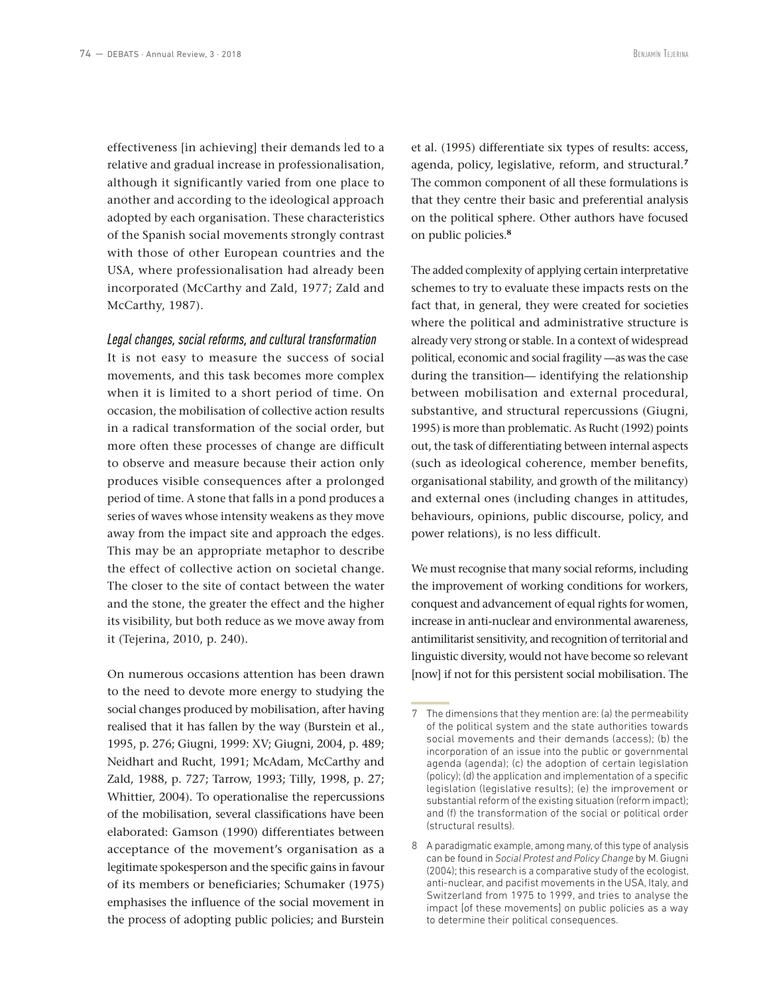effectiveness [in achieving] their demands led to a relative and gradual increase in professionalisation, although it significantly varied from one place to another and according to the ideological approach adopted by each organisation. These characteristics of the Spanish social movements strongly contrast with those of other European countries and the USA, where professionalisation had already been incorporated (McCarthy and Zald, 1977; Zald and McCarthy, 1987).

### *Legal changes, social reforms, and cultural transformation*

It is not easy to measure the success of social movements, and this task becomes more complex when it is limited to a short period of time. On occasion, the mobilisation of collective action results in a radical transformation of the social order, but more often these processes of change are difficult to observe and measure because their action only produces visible consequences after a prolonged period of time. A stone that falls in a pond produces a series of waves whose intensity weakens as they move away from the impact site and approach the edges. This may be an appropriate metaphor to describe the effect of collective action on societal change. The closer to the site of contact between the water and the stone, the greater the effect and the higher its visibility, but both reduce as we move away from it (Tejerina, 2010, p. 240).

On numerous occasions attention has been drawn to the need to devote more energy to studying the social changes produced by mobilisation, after having realised that it has fallen by the way (Burstein et al., 1995, p. 276; Giugni, 1999: XV; Giugni, 2004, p. 489; Neidhart and Rucht, 1991; McAdam, McCarthy and Zald, 1988, p. 727; Tarrow, 1993; Tilly, 1998, p. 27; Whittier, 2004). To operationalise the repercussions of the mobilisation, several classifications have been elaborated: Gamson (1990) differentiates between acceptance of the movement's organisation as a legitimate spokesperson and the specific gains in favour of its members or beneficiaries; Schumaker (1975) emphasises the influence of the social movement in the process of adopting public policies; and Burstein et al. (1995) differentiate six types of results: access, agenda, policy, legislative, reform, and structural.**<sup>7</sup>** The common component of all these formulations is that they centre their basic and preferential analysis on the political sphere. Other authors have focused on public policies.**<sup>8</sup>**

The added complexity of applying certain interpretative schemes to try to evaluate these impacts rests on the fact that, in general, they were created for societies where the political and administrative structure is already very strong or stable. In a context of widespread political, economic and social fragility —as was the case during the transition— identifying the relationship between mobilisation and external procedural, substantive, and structural repercussions (Giugni, 1995) is more than problematic. As Rucht (1992) points out, the task of differentiating between internal aspects (such as ideological coherence, member benefits, organisational stability, and growth of the militancy) and external ones (including changes in attitudes, behaviours, opinions, public discourse, policy, and power relations), is no less difficult.

We must recognise that many social reforms, including the improvement of working conditions for workers, conquest and advancement of equal rights for women, increase in anti-nuclear and environmental awareness, antimilitarist sensitivity, and recognition of territorial and linguistic diversity, would not have become so relevant [now] if not for this persistent social mobilisation. The

<sup>7</sup> The dimensions that they mention are: (a) the permeability of the political system and the state authorities towards social movements and their demands (access); (b) the incorporation of an issue into the public or governmental agenda (agenda); (c) the adoption of certain legislation (policy); (d) the application and implementation of a specific legislation (legislative results); (e) the improvement or substantial reform of the existing situation (reform impact); and (f) the transformation of the social or political order (structural results).

<sup>8</sup> A paradigmatic example, among many, of this type of analysis can be found in *Social Protest and Policy Change* by M. Giugni (2004); this research is a comparative study of the ecologist, anti-nuclear, and pacifist movements in the USA, Italy, and Switzerland from 1975 to 1999, and tries to analyse the impact [of these movements] on public policies as a way to determine their political consequences.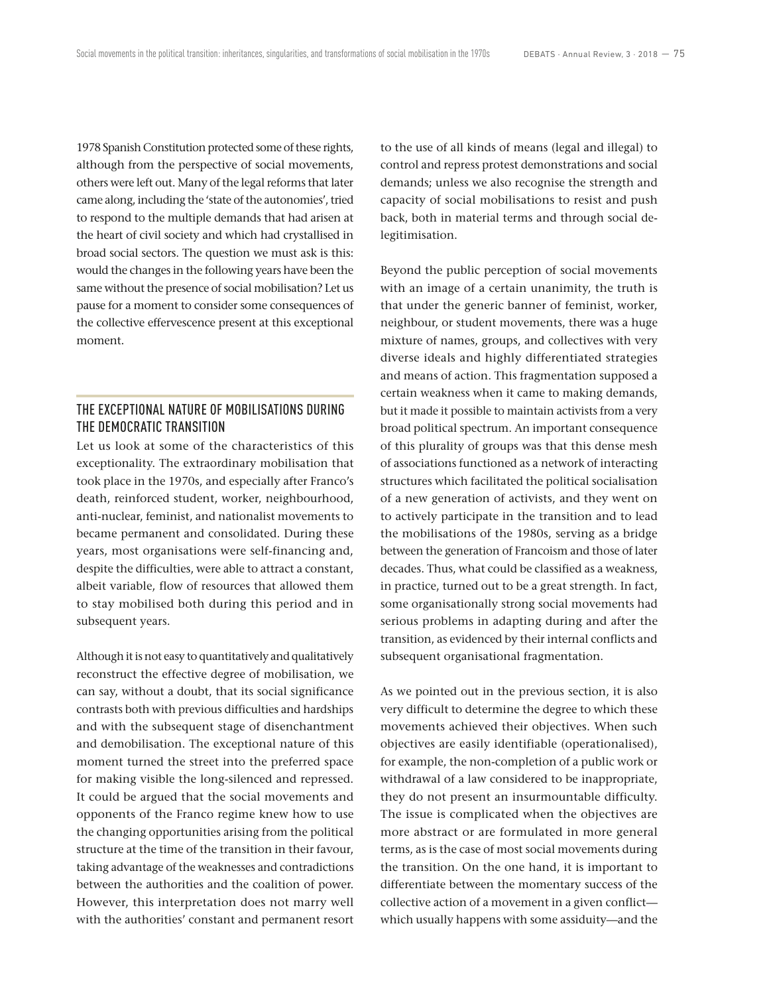1978 Spanish Constitution protected some of these rights, although from the perspective of social movements, others were left out. Many of the legal reforms that later came along, including the 'state of the autonomies', tried to respond to the multiple demands that had arisen at the heart of civil society and which had crystallised in broad social sectors. The question we must ask is this: would the changes in the following years have been the same without the presence of social mobilisation? Let us pause for a moment to consider some consequences of the collective effervescence present at this exceptional moment.

# THE EXCEPTIONAL NATURE OF MOBILISATIONS DURING THE DEMOCRATIC TRANSITION

Let us look at some of the characteristics of this exceptionality. The extraordinary mobilisation that took place in the 1970s, and especially after Franco's death, reinforced student, worker, neighbourhood, anti-nuclear, feminist, and nationalist movements to became permanent and consolidated. During these years, most organisations were self-financing and, despite the difficulties, were able to attract a constant, albeit variable, flow of resources that allowed them to stay mobilised both during this period and in subsequent years.

Although it is not easy to quantitatively and qualitatively reconstruct the effective degree of mobilisation, we can say, without a doubt, that its social significance contrasts both with previous difficulties and hardships and with the subsequent stage of disenchantment and demobilisation. The exceptional nature of this moment turned the street into the preferred space for making visible the long-silenced and repressed. It could be argued that the social movements and opponents of the Franco regime knew how to use the changing opportunities arising from the political structure at the time of the transition in their favour, taking advantage of the weaknesses and contradictions between the authorities and the coalition of power. However, this interpretation does not marry well with the authorities' constant and permanent resort to the use of all kinds of means (legal and illegal) to control and repress protest demonstrations and social demands; unless we also recognise the strength and capacity of social mobilisations to resist and push back, both in material terms and through social delegitimisation.

Beyond the public perception of social movements with an image of a certain unanimity, the truth is that under the generic banner of feminist, worker, neighbour, or student movements, there was a huge mixture of names, groups, and collectives with very diverse ideals and highly differentiated strategies and means of action. This fragmentation supposed a certain weakness when it came to making demands, but it made it possible to maintain activists from a very broad political spectrum. An important consequence of this plurality of groups was that this dense mesh of associations functioned as a network of interacting structures which facilitated the political socialisation of a new generation of activists, and they went on to actively participate in the transition and to lead the mobilisations of the 1980s, serving as a bridge between the generation of Francoism and those of later decades. Thus, what could be classified as a weakness, in practice, turned out to be a great strength. In fact, some organisationally strong social movements had serious problems in adapting during and after the transition, as evidenced by their internal conflicts and subsequent organisational fragmentation.

As we pointed out in the previous section, it is also very difficult to determine the degree to which these movements achieved their objectives. When such objectives are easily identifiable (operationalised), for example, the non-completion of a public work or withdrawal of a law considered to be inappropriate, they do not present an insurmountable difficulty. The issue is complicated when the objectives are more abstract or are formulated in more general terms, as is the case of most social movements during the transition. On the one hand, it is important to differentiate between the momentary success of the collective action of a movement in a given conflict which usually happens with some assiduity—and the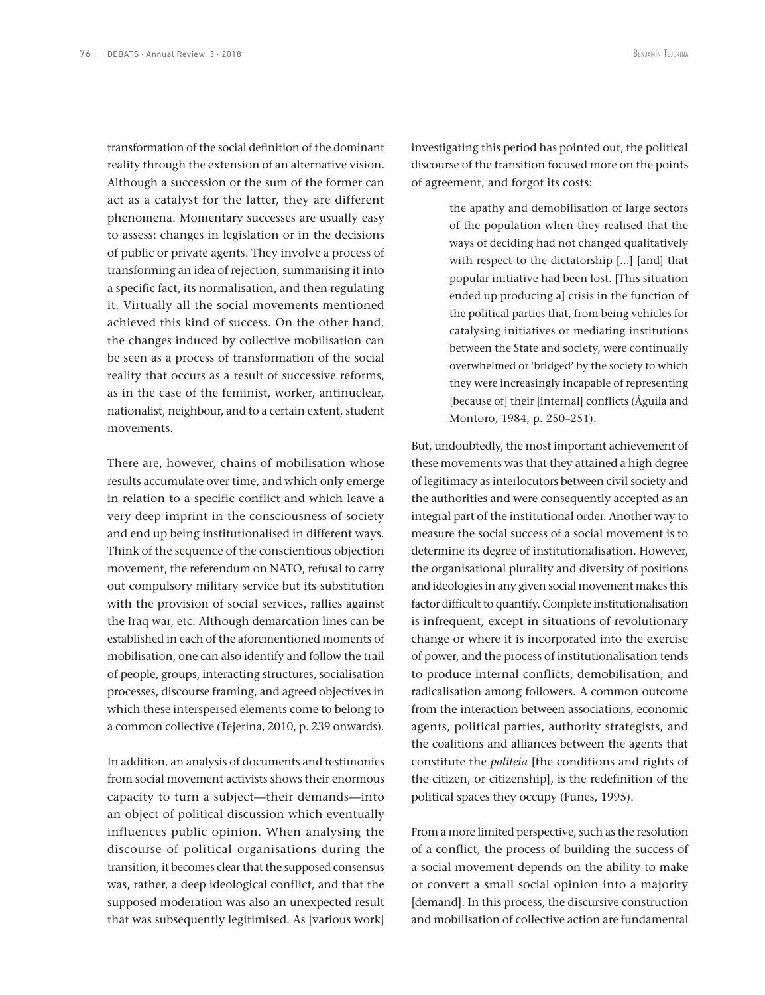transformation of the social definition of the dominant reality through the extension of an alternative vision. Although a succession or the sum of the former can act as a catalyst for the latter, they are different phenomena. Momentary successes are usually easy to assess: changes in legislation or in the decisions of public or private agents. They involve a process of transforming an idea of rejection, summarising it into a specific fact, its normalisation, and then regulating it. Virtually all the social movements mentioned achieved this kind of success. On the other hand, the changes induced by collective mobilisation can be seen as a process of transformation of the social reality that occurs as a result of successive reforms, as in the case of the feminist, worker, antinuclear, nationalist, neighbour, and to a certain extent, student movements.

There are, however, chains of mobilisation whose results accumulate over time, and which only emerge in relation to a specific conflict and which leave a very deep imprint in the consciousness of society and end up being institutionalised in different ways. Think of the sequence of the conscientious objection movement, the referendum on NATO, refusal to carry out compulsory military service but its substitution with the provision of social services, rallies against the Iraq war, etc. Although demarcation lines can be established in each of the aforementioned moments of mobilisation, one can also identify and follow the trail of people, groups, interacting structures, socialisation processes, discourse framing, and agreed objectives in which these interspersed elements come to belong to a common collective (Tejerina, 2010, p. 239 onwards).

In addition, an analysis of documents and testimonies from social movement activists shows their enormous capacity to turn a subject—their demands—into an object of political discussion which eventually influences public opinion. When analysing the discourse of political organisations during the transition, it becomes clear that the supposed consensus was, rather, a deep ideological conflict, and that the supposed moderation was also an unexpected result that was subsequently legitimised. As [various work]

investigating this period has pointed out, the political discourse of the transition focused more on the points of agreement, and forgot its costs:

> the apathy and demobilisation of large sectors of the population when they realised that the ways of deciding had not changed qualitatively with respect to the dictatorship [...] [and] that popular initiative had been lost. [This situation ended up producing a] crisis in the function of the political parties that, from being vehicles for catalysing initiatives or mediating institutions between the State and society, were continually overwhelmed or 'bridged' by the society to which they were increasingly incapable of representing [because of] their [internal] conflicts (Águila and Montoro, 1984, p. 250–251).

But, undoubtedly, the most important achievement of these movements was that they attained a high degree of legitimacy as interlocutors between civil society and the authorities and were consequently accepted as an integral part of the institutional order. Another way to measure the social success of a social movement is to determine its degree of institutionalisation. However, the organisational plurality and diversity of positions and ideologies in any given social movement makes this factor difficult to quantify. Complete institutionalisation is infrequent, except in situations of revolutionary change or where it is incorporated into the exercise of power, and the process of institutionalisation tends to produce internal conflicts, demobilisation, and radicalisation among followers. A common outcome from the interaction between associations, economic agents, political parties, authority strategists, and the coalitions and alliances between the agents that constitute the *politeia* [the conditions and rights of the citizen, or citizenship], is the redefinition of the political spaces they occupy (Funes, 1995).

From a more limited perspective, such as the resolution of a conflict, the process of building the success of a social movement depends on the ability to make or convert a small social opinion into a majority [demand]. In this process, the discursive construction and mobilisation of collective action are fundamental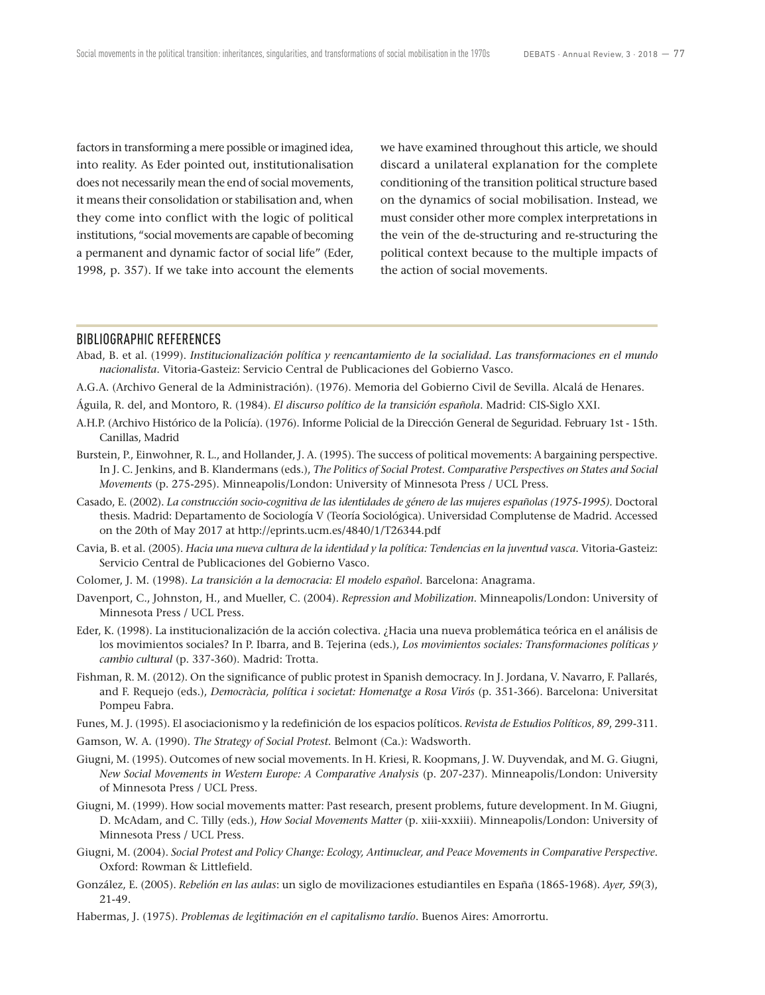factors in transforming a mere possible or imagined idea, into reality. As Eder pointed out, institutionalisation does not necessarily mean the end of social movements, it means their consolidation or stabilisation and, when they come into conflict with the logic of political institutions, "social movements are capable of becoming a permanent and dynamic factor of social life" (Eder, 1998, p. 357). If we take into account the elements we have examined throughout this article, we should discard a unilateral explanation for the complete conditioning of the transition political structure based on the dynamics of social mobilisation. Instead, we must consider other more complex interpretations in the vein of the de-structuring and re-structuring the political context because to the multiple impacts of the action of social movements.

#### BIBLIOGRAPHIC REFERENCES

- Abad, B. et al. (1999). *Institucionalización política y reencantamiento de la socialidad. Las transformaciones en el mundo nacionalista*. Vitoria-Gasteiz: Servicio Central de Publicaciones del Gobierno Vasco.
- A.G.A. (Archivo General de la Administración). (1976). Memoria del Gobierno Civil de Sevilla. Alcalá de Henares.
- Águila, R. del, and Montoro, R. (1984). *El discurso político de la transición española*. Madrid: CIS-Siglo XXI.
- A.H.P. (Archivo Histórico de la Policía). (1976). Informe Policial de la Dirección General de Seguridad. February 1st 15th. Canillas, Madrid
- Burstein, P., Einwohner, R. L., and Hollander, J. A. (1995). The success of political movements: A bargaining perspective. In J. C. Jenkins, and B. Klandermans (eds.), *The Politics of Social Protest. Comparative Perspectives on States and Social Movements* (p. 275-295). Minneapolis/London: University of Minnesota Press / UCL Press.
- Casado, E. (2002). *La construcción socio-cognitiva de las identidades de género de las mujeres españolas (1975-1995).* Doctoral thesis. Madrid: Departamento de Sociología V (Teoría Sociológica). Universidad Complutense de Madrid. Accessed on the 20th of May 2017 at http://eprints.ucm.es/4840/1/T26344.pdf
- Cavia, B. et al. (2005). *Hacia una nueva cultura de la identidad y la política: Tendencias en la juventud vasca*. Vitoria-Gasteiz: Servicio Central de Publicaciones del Gobierno Vasco.
- Colomer, J. M. (1998). *La transición a la democracia: El modelo español*. Barcelona: Anagrama.
- Davenport, C., Johnston, H., and Mueller, C. (2004). *Repression and Mobilization*. Minneapolis/London: University of Minnesota Press / UCL Press.
- Eder, K. (1998). La institucionalización de la acción colectiva. ¿Hacia una nueva problemática teórica en el análisis de los movimientos sociales? In P. Ibarra, and B. Tejerina (eds.), *Los movimientos sociales: Transformaciones políticas y cambio cultural* (p. 337-360). Madrid: Trotta.
- Fishman, R. M. (2012). On the significance of public protest in Spanish democracy. In J. Jordana, V. Navarro, F. Pallarés, and F. Requejo (eds.), *Democràcia, política i societat: Homenatge a Rosa Virós* (p. 351-366). Barcelona: Universitat Pompeu Fabra.
- Funes, M. J. (1995). El asociacionismo y la redefinición de los espacios políticos. *Revista de Estudios Políticos*, *89*, 299-311.
- Gamson, W. A. (1990). *The Strategy of Social Protest*. Belmont (Ca.): Wadsworth.
- Giugni, M. (1995). Outcomes of new social movements. In H. Kriesi, R. Koopmans, J. W. Duyvendak, and M. G. Giugni, *New Social Movements in Western Europe: A Comparative Analysis* (p. 207-237). Minneapolis/London: University of Minnesota Press / UCL Press.
- Giugni, M. (1999). How social movements matter: Past research, present problems, future development. In M. Giugni, D. McAdam, and C. Tilly (eds.), *How Social Movements Matter* (p. xiii-xxxiii). Minneapolis/London: University of Minnesota Press / UCL Press.
- Giugni, M. (2004). *Social Protest and Policy Change: Ecology, Antinuclear, and Peace Movements in Comparative Perspective*. Oxford: Rowman & Littlefield.
- González, E. (2005). *Rebelión en las aulas*: un siglo de movilizaciones estudiantiles en España (1865-1968). *Ayer, 59*(3), 21-49.
- Habermas, J. (1975). *Problemas de legitimación en el capitalismo tardío*. Buenos Aires: Amorrortu.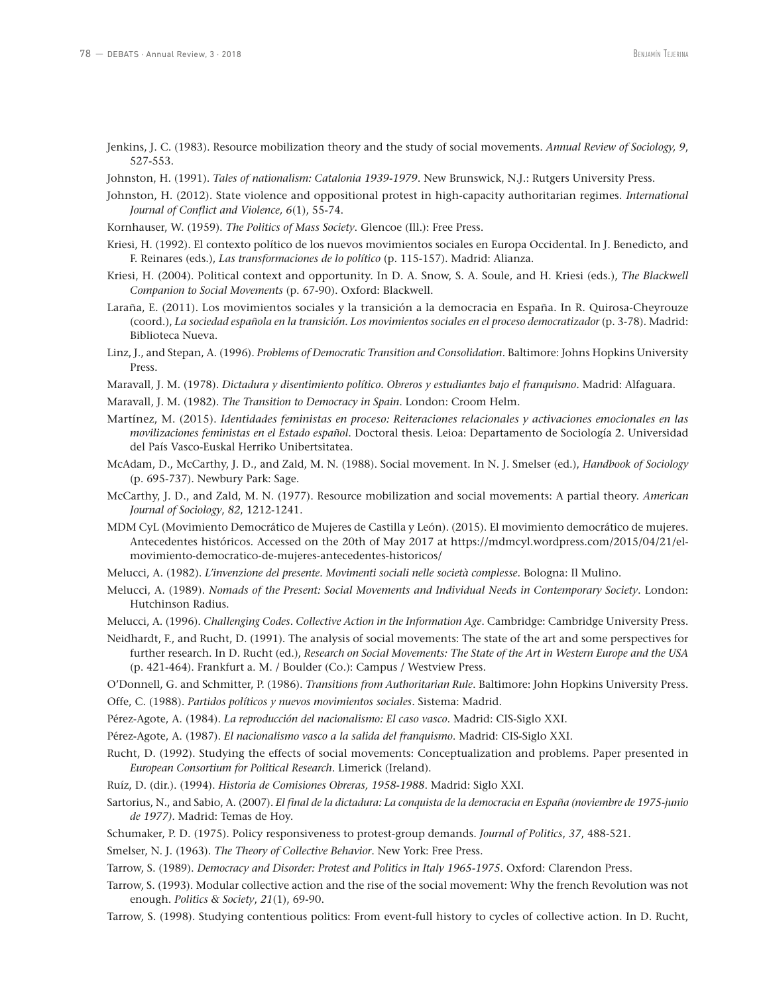- Jenkins, J. C. (1983). Resource mobilization theory and the study of social movements. *Annual Review of Sociology, 9*, 527-553.
- Johnston, H. (1991). *Tales of nationalism: Catalonia 1939-1979*. New Brunswick, N.J.: Rutgers University Press.
- Johnston, H. (2012). State violence and oppositional protest in high-capacity authoritarian regimes. *International Journal of Conflict and Violence, 6*(1), 55-74.
- Kornhauser, W. (1959). *The Politics of Mass Society*. Glencoe (Ill.): Free Press.
- Kriesi, H. (1992). El contexto político de los nuevos movimientos sociales en Europa Occidental. In J. Benedicto, and F. Reinares (eds.), *Las transformaciones de lo político* (p. 115-157). Madrid: Alianza.
- Kriesi, H. (2004). Political context and opportunity. In D. A. Snow, S. A. Soule, and H. Kriesi (eds.), *The Blackwell Companion to Social Movements* (p. 67-90). Oxford: Blackwell.
- Laraña, E. (2011). Los movimientos sociales y la transición a la democracia en España. In R. Quirosa-Cheyrouze (coord.), *La sociedad española en la transición. Los movimientos sociales en el proceso democratizador* (p. 3-78). Madrid: Biblioteca Nueva.
- Linz, J., and Stepan, A. (1996). *Problems of Democratic Transition and Consolidation*. Baltimore: Johns Hopkins University Press.
- Maravall, J. M. (1978). *Dictadura y disentimiento político. Obreros y estudiantes bajo el franquismo*. Madrid: Alfaguara.
- Maravall, J. M. (1982). *The Transition to Democracy in Spain*. London: Croom Helm.
- Martínez, M. (2015). *Identidades feministas en proceso: Reiteraciones relacionales y activaciones emocionales en las movilizaciones feministas en el Estado español*. Doctoral thesis. Leioa: Departamento de Sociología 2. Universidad del País Vasco-Euskal Herriko Unibertsitatea.
- McAdam, D., McCarthy, J. D., and Zald, M. N. (1988). Social movement. In N. J. Smelser (ed.), *Handbook of Sociology* (p. 695-737). Newbury Park: Sage.
- McCarthy, J. D., and Zald, M. N. (1977). Resource mobilization and social movements: A partial theory. *American Journal of Sociology*, *82*, 1212-1241.
- MDM CyL (Movimiento Democrático de Mujeres de Castilla y León). (2015). El movimiento democrático de mujeres. Antecedentes históricos. Accessed on the 20th of May 2017 at https://mdmcyl.wordpress.com/2015/04/21/elmovimiento-democratico-de-mujeres-antecedentes-historicos/
- Melucci, A. (1982). *L'invenzione del presente. Movimenti sociali nelle società complesse.* Bologna: Il Mulino.
- Melucci, A. (1989). *Nomads of the Present: Social Movements and Individual Needs in Contemporary Society*. London: Hutchinson Radius.
- Melucci, A. (1996). *Challenging Codes. Collective Action in the Information Age*. Cambridge: Cambridge University Press.
- Neidhardt, F., and Rucht, D. (1991). The analysis of social movements: The state of the art and some perspectives for further research. In D. Rucht (ed.), *Research on Social Movements: The State of the Art in Western Europe and the USA* (p. 421-464). Frankfurt a. M. / Boulder (Co.): Campus / Westview Press.
- O'Donnell, G. and Schmitter, P. (1986). *Transitions from Authoritarian Rule*. Baltimore: John Hopkins University Press. Offe, C. (1988). *Partidos políticos y nuevos movimientos sociales*. Sistema: Madrid.
- 
- Pérez-Agote, A. (1984). *La reproducción del nacionalismo: El caso vasco*. Madrid: CIS-Siglo XXI.
- Pérez-Agote, A. (1987). *El nacionalismo vasco a la salida del franquismo*. Madrid: CIS-Siglo XXI.
- Rucht, D. (1992). Studying the effects of social movements: Conceptualization and problems. Paper presented in *European Consortium for Political Research*. Limerick (Ireland).
- Ruíz, D. (dir.). (1994). *Historia de Comisiones Obreras, 1958-1988*. Madrid: Siglo XXI.
- Sartorius, N., and Sabio, A. (2007). *El final de la dictadura: La conquista de la democracia en España (noviembre de 1975-junio de 1977)*. Madrid: Temas de Hoy.
- Schumaker, P. D. (1975). Policy responsiveness to protest-group demands. *Journal of Politics*, *37*, 488-521.

Smelser, N. J. (1963). *The Theory of Collective Behavior*. New York: Free Press.

- Tarrow, S. (1989). *Democracy and Disorder: Protest and Politics in Italy 1965-1975*. Oxford: Clarendon Press.
- Tarrow, S. (1993). Modular collective action and the rise of the social movement: Why the french Revolution was not enough. *Politics & Society*, *21*(1), 69-90.
- Tarrow, S. (1998). Studying contentious politics: From event-full history to cycles of collective action. In D. Rucht,